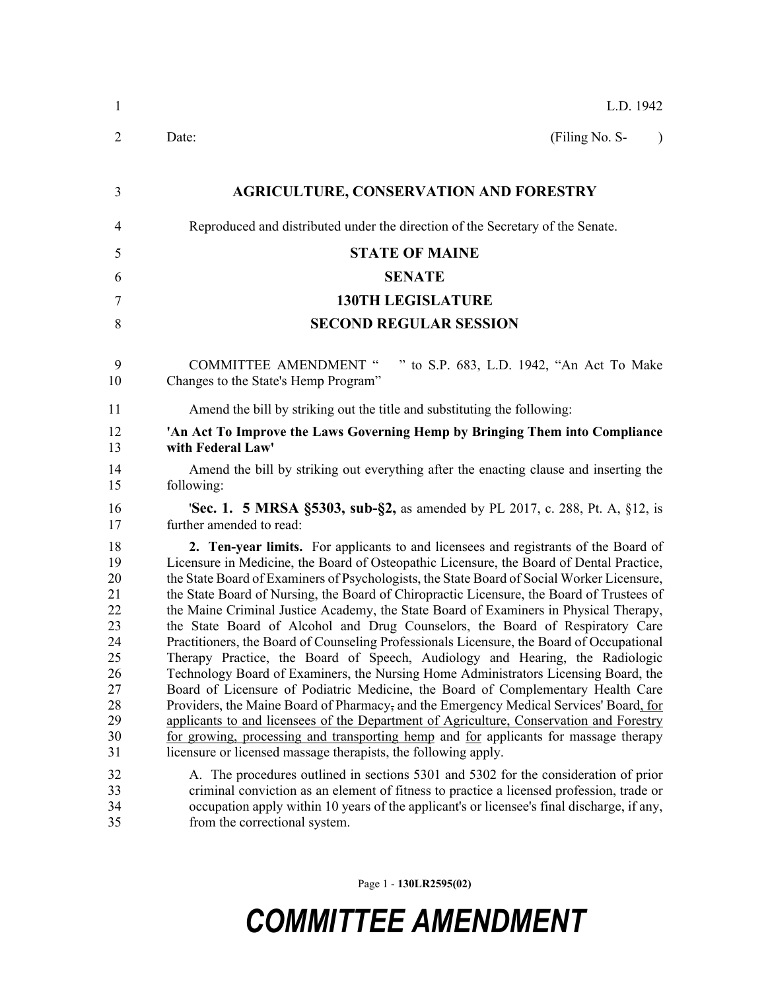| $\mathbf{1}$                                                                     | L.D. 1942                                                                                                                                                                                                                                                                                                                                                                                                                                                                                                                                                                                                                                                                                                                                                                                                                                                                                                                                                                                                                                                                                                                                                                                                                                                   |
|----------------------------------------------------------------------------------|-------------------------------------------------------------------------------------------------------------------------------------------------------------------------------------------------------------------------------------------------------------------------------------------------------------------------------------------------------------------------------------------------------------------------------------------------------------------------------------------------------------------------------------------------------------------------------------------------------------------------------------------------------------------------------------------------------------------------------------------------------------------------------------------------------------------------------------------------------------------------------------------------------------------------------------------------------------------------------------------------------------------------------------------------------------------------------------------------------------------------------------------------------------------------------------------------------------------------------------------------------------|
| 2                                                                                | (Filing No. S-<br>Date:<br>$\lambda$                                                                                                                                                                                                                                                                                                                                                                                                                                                                                                                                                                                                                                                                                                                                                                                                                                                                                                                                                                                                                                                                                                                                                                                                                        |
| 3                                                                                | <b>AGRICULTURE, CONSERVATION AND FORESTRY</b>                                                                                                                                                                                                                                                                                                                                                                                                                                                                                                                                                                                                                                                                                                                                                                                                                                                                                                                                                                                                                                                                                                                                                                                                               |
| 4                                                                                | Reproduced and distributed under the direction of the Secretary of the Senate.                                                                                                                                                                                                                                                                                                                                                                                                                                                                                                                                                                                                                                                                                                                                                                                                                                                                                                                                                                                                                                                                                                                                                                              |
| 5                                                                                | <b>STATE OF MAINE</b>                                                                                                                                                                                                                                                                                                                                                                                                                                                                                                                                                                                                                                                                                                                                                                                                                                                                                                                                                                                                                                                                                                                                                                                                                                       |
| 6                                                                                | <b>SENATE</b>                                                                                                                                                                                                                                                                                                                                                                                                                                                                                                                                                                                                                                                                                                                                                                                                                                                                                                                                                                                                                                                                                                                                                                                                                                               |
| 7                                                                                | <b>130TH LEGISLATURE</b>                                                                                                                                                                                                                                                                                                                                                                                                                                                                                                                                                                                                                                                                                                                                                                                                                                                                                                                                                                                                                                                                                                                                                                                                                                    |
| 8                                                                                | <b>SECOND REGULAR SESSION</b>                                                                                                                                                                                                                                                                                                                                                                                                                                                                                                                                                                                                                                                                                                                                                                                                                                                                                                                                                                                                                                                                                                                                                                                                                               |
| 9<br>10                                                                          | " to S.P. 683, L.D. 1942, "An Act To Make<br><b>COMMITTEE AMENDMENT "</b><br>Changes to the State's Hemp Program"                                                                                                                                                                                                                                                                                                                                                                                                                                                                                                                                                                                                                                                                                                                                                                                                                                                                                                                                                                                                                                                                                                                                           |
| 11                                                                               | Amend the bill by striking out the title and substituting the following:                                                                                                                                                                                                                                                                                                                                                                                                                                                                                                                                                                                                                                                                                                                                                                                                                                                                                                                                                                                                                                                                                                                                                                                    |
| 12<br>13                                                                         | 'An Act To Improve the Laws Governing Hemp by Bringing Them into Compliance<br>with Federal Law'                                                                                                                                                                                                                                                                                                                                                                                                                                                                                                                                                                                                                                                                                                                                                                                                                                                                                                                                                                                                                                                                                                                                                            |
| 14<br>15                                                                         | Amend the bill by striking out everything after the enacting clause and inserting the<br>following:                                                                                                                                                                                                                                                                                                                                                                                                                                                                                                                                                                                                                                                                                                                                                                                                                                                                                                                                                                                                                                                                                                                                                         |
| 16<br>17                                                                         | <b>Sec. 1. 5 MRSA §5303, sub-§2, as amended by PL 2017, c. 288, Pt. A, §12, is</b><br>further amended to read:                                                                                                                                                                                                                                                                                                                                                                                                                                                                                                                                                                                                                                                                                                                                                                                                                                                                                                                                                                                                                                                                                                                                              |
| 18<br>19<br>20<br>21<br>22<br>23<br>24<br>25<br>26<br>27<br>28<br>29<br>30<br>31 | 2. Ten-year limits. For applicants to and licensees and registrants of the Board of<br>Licensure in Medicine, the Board of Osteopathic Licensure, the Board of Dental Practice,<br>the State Board of Examiners of Psychologists, the State Board of Social Worker Licensure,<br>the State Board of Nursing, the Board of Chiropractic Licensure, the Board of Trustees of<br>the Maine Criminal Justice Academy, the State Board of Examiners in Physical Therapy,<br>the State Board of Alcohol and Drug Counselors, the Board of Respiratory Care<br>Practitioners, the Board of Counseling Professionals Licensure, the Board of Occupational<br>Therapy Practice, the Board of Speech, Audiology and Hearing, the Radiologic<br>Technology Board of Examiners, the Nursing Home Administrators Licensing Board, the<br>Board of Licensure of Podiatric Medicine, the Board of Complementary Health Care<br>Providers, the Maine Board of Pharmacy, and the Emergency Medical Services' Board, for<br>applicants to and licensees of the Department of Agriculture, Conservation and Forestry<br>for growing, processing and transporting hemp and for applicants for massage therapy<br>licensure or licensed massage therapists, the following apply. |
| 32<br>33<br>34<br>35                                                             | A. The procedures outlined in sections 5301 and 5302 for the consideration of prior<br>criminal conviction as an element of fitness to practice a licensed profession, trade or<br>occupation apply within 10 years of the applicant's or licensee's final discharge, if any,<br>from the correctional system.                                                                                                                                                                                                                                                                                                                                                                                                                                                                                                                                                                                                                                                                                                                                                                                                                                                                                                                                              |

Page 1 - **130LR2595(02)**

## *COMMITTEE AMENDMENT*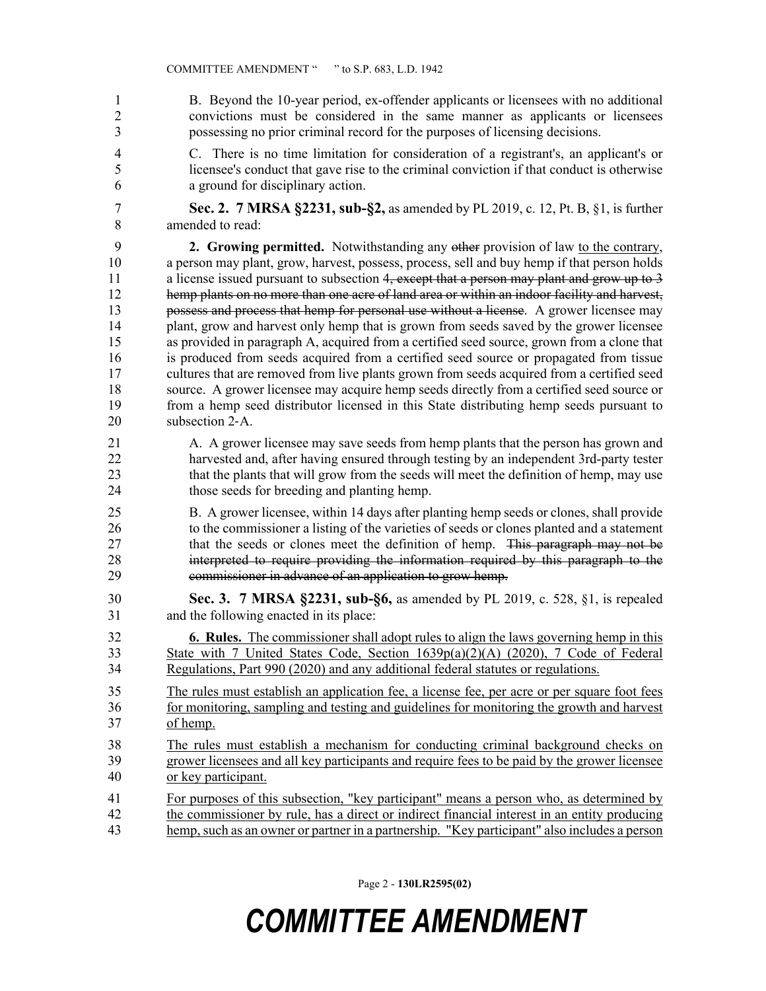1 B. Beyond the 10-year period, ex-offender applicants or licensees with no additional 2 convictions must be considered in the same manner as applicants or licensees 3 possessing no prior criminal record for the purposes of licensing decisions. 4 C. There is no time limitation for consideration of a registrant's, an applicant's or 5 licensee's conduct that gave rise to the criminal conviction if that conduct is otherwise 6 a ground for disciplinary action. 7 **Sec. 2. 7 MRSA §2231, sub-§2,** as amended by PL 2019, c. 12, Pt. B, §1, is further 8 amended to read: 9 **2. Growing permitted.** Notwithstanding any other provision of law to the contrary, 10 a person may plant, grow, harvest, possess, process, sell and buy hemp if that person holds 11 a license issued pursuant to subsection 4, except that a person may plant and grow up to 3 12 hemp plants on no more than one acre of land area or within an indoor facility and harvest, 13 possess and process that hemp for personal use without a license. A grower licensee may 14 plant, grow and harvest only hemp that is grown from seeds saved by the grower licensee 15 as provided in paragraph A, acquired from a certified seed source, grown from a clone that 16 is produced from seeds acquired from a certified seed source or propagated from tissue 17 cultures that are removed from live plants grown from seeds acquired from a certified seed 18 source. A grower licensee may acquire hemp seeds directly from a certified seed source or 19 from a hemp seed distributor licensed in this State distributing hemp seeds pursuant to 20 subsection 2‑A. 21 A. A grower licensee may save seeds from hemp plants that the person has grown and 22 harvested and, after having ensured through testing by an independent 3rd-party tester 23 that the plants that will grow from the seeds will meet the definition of hemp, may use 24 those seeds for breeding and planting hemp. 25 B. A grower licensee, within 14 days after planting hemp seeds or clones, shall provide 26 to the commissioner a listing of the varieties of seeds or clones planted and a statement 27 that the seeds or clones meet the definition of hemp. This paragraph may not be 28 interpreted to require providing the information required by this paragraph to the 29 commissioner in advance of an application to grow hemp. 30 **Sec. 3. 7 MRSA §2231, sub-§6,** as amended by PL 2019, c. 528, §1, is repealed 31 and the following enacted in its place: 32 **6. Rules.** The commissioner shall adopt rules to align the laws governing hemp in this 33 State with 7 United States Code, Section 1639p(a)(2)(A) (2020), 7 Code of Federal 34 Regulations, Part 990 (2020) and any additional federal statutes or regulations. 35 The rules must establish an application fee, a license fee, per acre or per square foot fees 36 for monitoring, sampling and testing and guidelines for monitoring the growth and harvest 37 of hemp. 38 The rules must establish a mechanism for conducting criminal background checks on 39 grower licensees and all key participants and require fees to be paid by the grower licensee 40 or key participant. 41 For purposes of this subsection, "key participant" means a person who, as determined by 42 the commissioner by rule, has a direct or indirect financial interest in an entity producing 43 hemp, such as an owner or partner in a partnership. "Key participant" also includes a person

Page 2 - **130LR2595(02)**

## *COMMITTEE AMENDMENT*